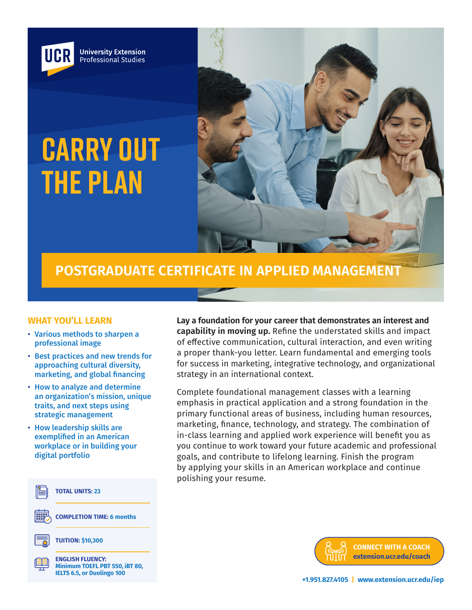

# **CARRY OUT THE PLAN**



# **POSTGRADUATE CERTIFICATE IN APPLIED MANAGEMENT**

#### **WHAT YOU'LL LEARN**

- Various methods to sharpen a professional image
- Best practices and new trends for approaching cultural diversity, marketing, and global financing
- How to analyze and determine an organization's mission, unique traits, and next steps using strategic management
- How leadership skills are exemplified in an American workplace or in building your digital portfolio



**Lay a foundation for your career that demonstrates an interest and capability in moving up.** Refine the understated skills and impact of effective communication, cultural interaction, and even writing a proper thank-you letter. Learn fundamental and emerging tools for success in marketing, integrative technology, and organizational strategy in an international context.

Complete foundational management classes with a learning emphasis in practical application and a strong foundation in the primary functional areas of business, including human resources, marketing, finance, technology, and strategy. The combination of in-class learning and applied work experience will benefit you as you continue to work toward your future academic and professional goals, and contribute to lifelong learning. Finish the program by applying your skills in an American workplace and continue polishing your resume.

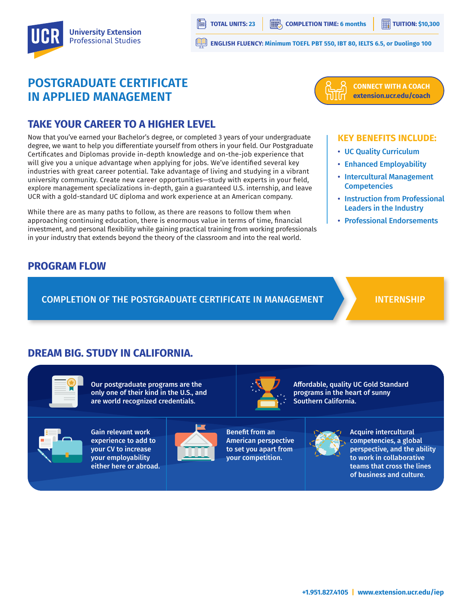

**TOTAL UNITS: 23 COMPLETION TIME: 6 months TUITION: \$10,300** 

**ENGLISH FLUENCY: Minimum TOEFL PBT 550, IBT 80, IELTS 6.5, or Duolingo 100**

# **POSTGRADUATE CERTIFICATE IN APPLIED MANAGEMENT**



# **TAKE YOUR CAREER TO A HIGHER LEVEL**

Now that you've earned your Bachelor's degree, or completed 3 years of your undergraduate degree, we want to help you differentiate yourself from others in your field. Our Postgraduate Certificates and Diplomas provide in-depth knowledge and on-the-job experience that will give you a unique advantage when applying for jobs. We've identified several key industries with great career potential. Take advantage of living and studying in a vibrant university community. Create new career opportunities—study with experts in your field, explore management specializations in-depth, gain a guaranteed U.S. internship, and leave UCR with a gold-standard UC diploma and work experience at an American company.

While there are as many paths to follow, as there are reasons to follow them when approaching continuing education, there is enormous value in terms of time, financial investment, and personal flexibility while gaining practical training from working professionals in your industry that extends beyond the theory of the classroom and into the real world.

#### **KEY BENEFITS INCLUDE:**

- UC Quality Curriculum
- Enhanced Employability
- Intercultural Management **Competencies**
- Instruction from Professional Leaders in the Industry
- Professional Endorsements

## **PROGRAM FLOW**

COMPLETION OF THE POSTGRADUATE CERTIFICATE IN MANAGEMENT

#### INTERNSHIP

## **DREAM BIG. STUDY IN CALIFORNIA.**

Our postgraduate programs are the only one of their kind in the U.S., and are world recognized credentials.



Gain relevant work experience to add to your CV to increase your employability either here or abroad.



Benefit from an American perspective to set you apart from your competition.



Affordable, quality UC Gold Standard programs in the heart of sunny Southern California.



Acquire intercultural competencies, a global perspective, and the ability to work in collaborative teams that cross the lines of business and culture.